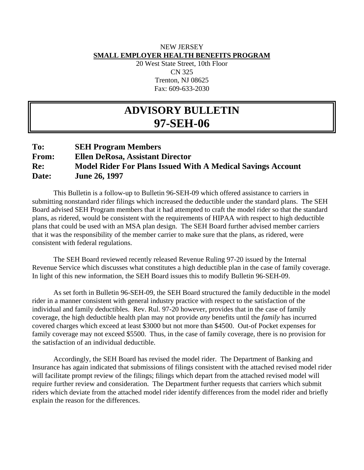# NEW JERSEY **SMALL EMPLOYER HEALTH BENEFITS PROGRAM**

20 West State Street, 10th Floor CN 325 Trenton, NJ 08625 Fax: 609-633-2030

# **ADVISORY BULLETIN 97-SEH-06**

# **To: SEH Program Members From: Ellen DeRosa, Assistant Director Re: Model Rider For Plans Issued With A Medical Savings Account Date: June 26, 1997**

 This Bulletin is a follow-up to Bulletin 96-SEH-09 which offered assistance to carriers in submitting nonstandard rider filings which increased the deductible under the standard plans. The SEH Board advised SEH Program members that it had attempted to craft the model rider so that the standard plans, as ridered, would be consistent with the requirements of HIPAA with respect to high deductible plans that could be used with an MSA plan design. The SEH Board further advised member carriers that it was the responsibility of the member carrier to make sure that the plans, as ridered, were consistent with federal regulations.

 The SEH Board reviewed recently released Revenue Ruling 97-20 issued by the Internal Revenue Service which discusses what constitutes a high deductible plan in the case of family coverage. In light of this new information, the SEH Board issues this to modify Bulletin 96-SEH-09.

 As set forth in Bulletin 96-SEH-09, the SEH Board structured the family deductible in the model rider in a manner consistent with general industry practice with respect to the satisfaction of the individual and family deductibles. Rev. Rul. 97-20 however, provides that in the case of family coverage, the high deductible health plan may not provide *any* benefits until the *family* has incurred covered charges which exceed at least \$3000 but not more than \$4500. Out-of Pocket expenses for family coverage may not exceed \$5500. Thus, in the case of family coverage, there is no provision for the satisfaction of an individual deductible.

 Accordingly, the SEH Board has revised the model rider. The Department of Banking and Insurance has again indicated that submissions of filings consistent with the attached revised model rider will facilitate prompt review of the filings; filings which depart from the attached revised model will require further review and consideration. The Department further requests that carriers which submit riders which deviate from the attached model rider identify differences from the model rider and briefly explain the reason for the differences.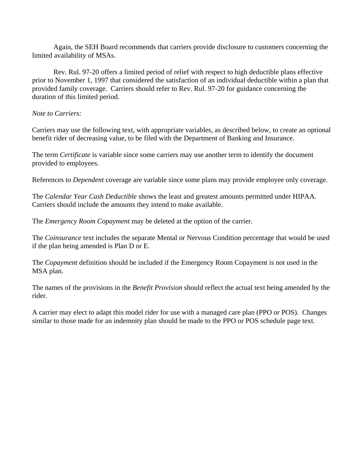Again, the SEH Board recommends that carriers provide disclosure to customers concerning the limited availability of MSAs.

 Rev. Rul. 97-20 offers a limited period of relief with respect to high deductible plans effective prior to November 1, 1997 that considered the satisfaction of an individual deductible within a plan that provided family coverage. Carriers should refer to Rev. Rul. 97-20 for guidance concerning the duration of this limited period.

#### *Note to Carriers:*

Carriers may use the following text, with appropriate variables, as described below, to create an optional benefit rider of decreasing value, to be filed with the Department of Banking and Insurance.

The term *Certificate* is variable since some carriers may use another term to identify the document provided to employees.

References to *Dependent* coverage are variable since some plans may provide employee only coverage.

The *Calendar Year Cash Deductible* shows the least and greatest amounts permitted under HIPAA. Carriers should include the amounts they intend to make available.

The *Emergency Room Copayment* may be deleted at the option of the carrier.

The *Coinsurance* text includes the separate Mental or Nervous Condition percentage that would be used if the plan being amended is Plan D or E.

The *Copayment* definition should be included if the Emergency Room Copayment is not used in the MSA plan.

The names of the provisions in the *Benefit Provision* should reflect the actual text being amended by the rider.

A carrier may elect to adapt this model rider for use with a managed care plan (PPO or POS). Changes similar to those made for an indemnity plan should be made to the PPO or POS schedule page text.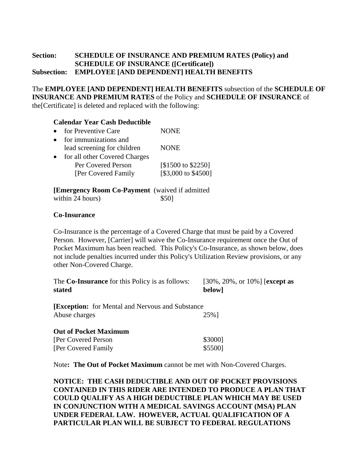# **Section: SCHEDULE OF INSURANCE AND PREMIUM RATES (Policy) and SCHEDULE OF INSURANCE ([Certificate]) Subsection: EMPLOYEE [AND DEPENDENT] HEALTH BENEFITS**

The **EMPLOYEE [AND DEPENDENT] HEALTH BENEFITS** subsection of the **SCHEDULE OF INSURANCE AND PREMIUM RATES** of the Policy and **SCHEDULE OF INSURANCE** of the[Certificate] is deleted and replaced with the following:

# **Calendar Year Cash Deductible**

| $\bullet$ | for Preventive Care           | <b>NONE</b>         |
|-----------|-------------------------------|---------------------|
| $\bullet$ | for immunizations and         |                     |
|           | lead screening for children   | <b>NONE</b>         |
| $\bullet$ | for all other Covered Charges |                     |
|           | Per Covered Person            | [\$1500 to \$2250]  |
|           | [Per Covered Family           | [\$3,000 to \$4500] |
|           |                               |                     |

**[Emergency Room Co-Payment** (waived if admitted within 24 hours)  $$50]$ 

# **Co-Insurance**

Co-Insurance is the percentage of a Covered Charge that must be paid by a Covered Person. However, [Carrier] will waive the Co-Insurance requirement once the Out of Pocket Maximum has been reached. This Policy's Co-Insurance, as shown below, does not include penalties incurred under this Policy's Utilization Review provisions, or any other Non-Covered Charge.

| The <b>Co-Insurance</b> for this Policy is as follows:<br>stated             | $[30\%, 20\%, \text{ or } 10\%]$ [except as<br>below] |
|------------------------------------------------------------------------------|-------------------------------------------------------|
| <b>[Exception:</b> for Mental and Nervous and Substance<br>Abuse charges     | 25%]                                                  |
| <b>Out of Pocket Maximum</b><br>[Per Covered Person]<br>[Per Covered Family] | \$3000]<br>\$5500]                                    |

Note**: The Out of Pocket Maximum** cannot be met with Non-Covered Charges.

**NOTICE: THE CASH DEDUCTIBLE AND OUT OF POCKET PROVISIONS CONTAINED IN THIS RIDER ARE INTENDED TO PRODUCE A PLAN THAT COULD QUALIFY AS A HIGH DEDUCTIBLE PLAN WHICH MAY BE USED IN CONJUNCTION WITH A MEDICAL SAVINGS ACCOUNT (MSA) PLAN UNDER FEDERAL LAW. HOWEVER, ACTUAL QUALIFICATION OF A PARTICULAR PLAN WILL BE SUBJECT TO FEDERAL REGULATIONS**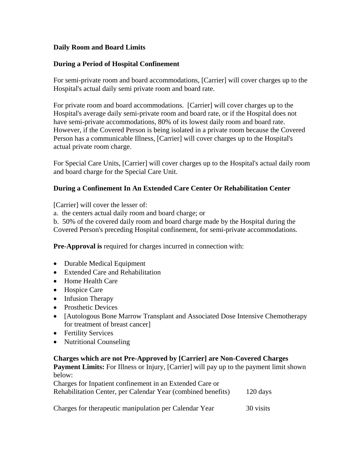# **Daily Room and Board Limits**

#### **During a Period of Hospital Confinement**

For semi-private room and board accommodations, [Carrier] will cover charges up to the Hospital's actual daily semi private room and board rate.

For private room and board accommodations. [Carrier] will cover charges up to the Hospital's average daily semi-private room and board rate, or if the Hospital does not have semi-private accommodations, 80% of its lowest daily room and board rate. However, if the Covered Person is being isolated in a private room because the Covered Person has a communicable Illness, [Carrier] will cover charges up to the Hospital's actual private room charge.

For Special Care Units, [Carrier] will cover charges up to the Hospital's actual daily room and board charge for the Special Care Unit.

#### **During a Confinement In An Extended Care Center Or Rehabilitation Center**

[Carrier] will cover the lesser of:

a. the centers actual daily room and board charge; or

b. 50% of the covered daily room and board charge made by the Hospital during the

Covered Person's preceding Hospital confinement, for semi-private accommodations.

**Pre-Approval is** required for charges incurred in connection with:

- Durable Medical Equipment
- Extended Care and Rehabilitation
- Home Health Care
- Hospice Care
- Infusion Therapy
- Prosthetic Devices
- [Autologous Bone Marrow Transplant and Associated Dose Intensive Chemotherapy for treatment of breast cancer]
- Fertility Services
- Nutritional Counseling

#### **Charges which are not Pre-Approved by [Carrier] are Non-Covered Charges**

**Payment Limits:** For Illness or Injury, [Carrier] will pay up to the payment limit shown below:

| Charges for Inpatient confinement in an Extended Care or     |                    |
|--------------------------------------------------------------|--------------------|
| Rehabilitation Center, per Calendar Year (combined benefits) | $120 \text{ days}$ |
|                                                              |                    |

Charges for therapeutic manipulation per Calendar Year 30 visits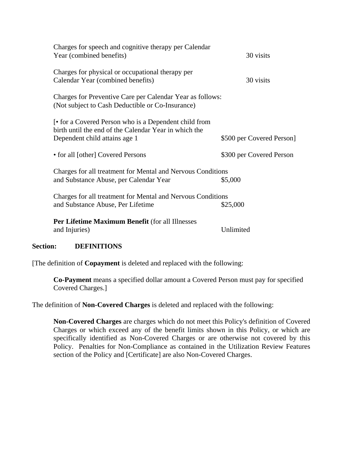| Charges for speech and cognitive therapy per Calendar<br>Year (combined benefits)                                                                            | 30 visits                 |  |  |
|--------------------------------------------------------------------------------------------------------------------------------------------------------------|---------------------------|--|--|
| Charges for physical or occupational therapy per<br>Calendar Year (combined benefits)                                                                        | 30 visits                 |  |  |
| Charges for Preventive Care per Calendar Year as follows:<br>(Not subject to Cash Deductible or Co-Insurance)                                                |                           |  |  |
| <b>Form</b> connect a Covered Person who is a Dependent child from<br>birth until the end of the Calendar Year in which the<br>Dependent child attains age 1 | \$500 per Covered Person] |  |  |
| • for all [other] Covered Persons                                                                                                                            | \$300 per Covered Person  |  |  |
| Charges for all treatment for Mental and Nervous Conditions<br>and Substance Abuse, per Calendar Year<br>\$5,000                                             |                           |  |  |
| Charges for all treatment for Mental and Nervous Conditions<br>and Substance Abuse, Per Lifetime                                                             | \$25,000                  |  |  |
| Per Lifetime Maximum Benefit (for all Illnesses<br>and Injuries)                                                                                             | Unlimited                 |  |  |

# **Section: DEFINITIONS**

[The definition of **Copayment** is deleted and replaced with the following:

**Co-Payment** means a specified dollar amount a Covered Person must pay for specified Covered Charges.]

The definition of **Non-Covered Charges** is deleted and replaced with the following:

**Non-Covered Charges** are charges which do not meet this Policy's definition of Covered Charges or which exceed any of the benefit limits shown in this Policy, or which are specifically identified as Non-Covered Charges or are otherwise not covered by this Policy. Penalties for Non-Compliance as contained in the Utilization Review Features section of the Policy and [Certificate] are also Non-Covered Charges.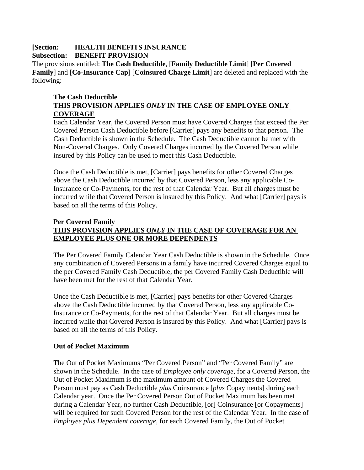# **[Section: HEALTH BENEFITS INSURANCE Subsection: BENEFIT PROVISION**

The provisions entitled: **The Cash Deductible**, [**Family Deductible Limit**] [**Per Covered Family**] and [**Co-Insurance Cap**] [**Coinsured Charge Limit**] are deleted and replaced with the following:

# **The Cash Deductible THIS PROVISION APPLIES** *ONLY* **IN THE CASE OF EMPLOYEE ONLY COVERAGE**

Each Calendar Year, the Covered Person must have Covered Charges that exceed the Per Covered Person Cash Deductible before [Carrier] pays any benefits to that person. The Cash Deductible is shown in the Schedule. The Cash Deductible cannot be met with Non-Covered Charges. Only Covered Charges incurred by the Covered Person while insured by this Policy can be used to meet this Cash Deductible.

Once the Cash Deductible is met, [Carrier] pays benefits for other Covered Charges above the Cash Deductible incurred by that Covered Person, less any applicable Co-Insurance or Co-Payments, for the rest of that Calendar Year. But all charges must be incurred while that Covered Person is insured by this Policy. And what [Carrier] pays is based on all the terms of this Policy.

# **Per Covered Family THIS PROVISION APPLIES** *ONLY* **IN THE CASE OF COVERAGE FOR AN EMPLOYEE PLUS ONE OR MORE DEPENDENTS**

The Per Covered Family Calendar Year Cash Deductible is shown in the Schedule. Once any combination of Covered Persons in a family have incurred Covered Charges equal to the per Covered Family Cash Deductible, the per Covered Family Cash Deductible will have been met for the rest of that Calendar Year.

Once the Cash Deductible is met, [Carrier] pays benefits for other Covered Charges above the Cash Deductible incurred by that Covered Person, less any applicable Co-Insurance or Co-Payments, for the rest of that Calendar Year. But all charges must be incurred while that Covered Person is insured by this Policy. And what [Carrier] pays is based on all the terms of this Policy.

# **Out of Pocket Maximum**

The Out of Pocket Maximums "Per Covered Person" and "Per Covered Family" are shown in the Schedule. In the case of *Employee only coverage*, for a Covered Person, the Out of Pocket Maximum is the maximum amount of Covered Charges the Covered Person must pay as Cash Deductible *plus* Coinsurance [*plus* Copayments] during each Calendar year. Once the Per Covered Person Out of Pocket Maximum has been met during a Calendar Year, no further Cash Deductible, [or] Coinsurance [or Copayments] will be required for such Covered Person for the rest of the Calendar Year. In the case of *Employee plus Dependent coverage*, for each Covered Family, the Out of Pocket